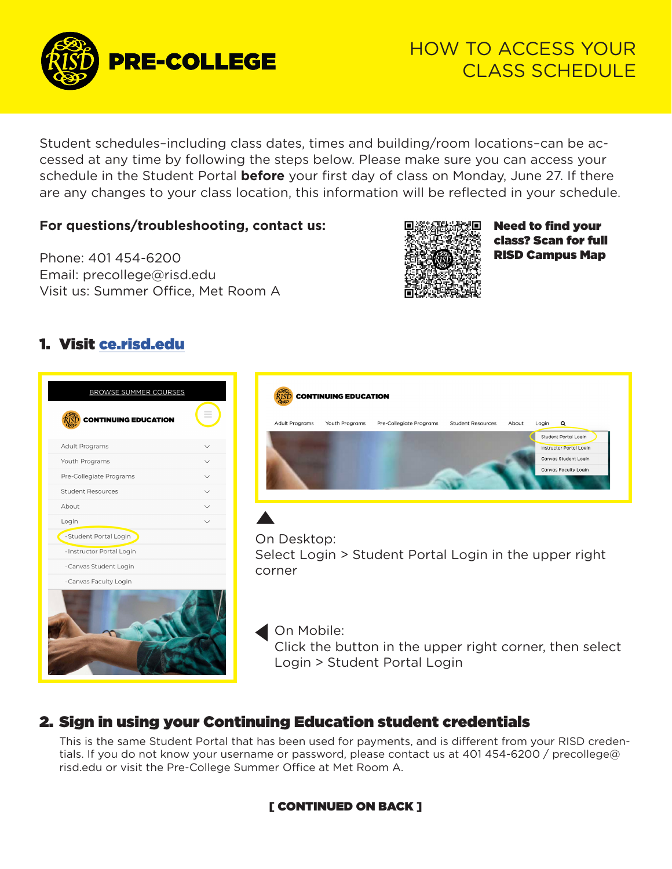

# HOW TO ACCESS YOUR CLASS SCHEDULE

Student schedules–including class dates, times and building/room locations–can be accessed at any time by following the steps below. Please make sure you can access your schedule in the Student Portal **before** your first day of class on Monday, June 27. If there are any changes to your class location, this information will be reflected in your schedule.

#### **For questions/troubleshooting, contact us:**

Phone: 401 454-6200 Email: precollege@risd.edu Visit us: Summer Office, Met Room A



Need to find your class? Scan for full RISD Campus Map

## 1. Visit [ce.risd.edu](http://ce.risd.edu)

| <b>BROWSE SUMMER COURSES</b> |  |
|------------------------------|--|
| <b>CONTINUING EDUCATION</b>  |  |
| Adult Programs               |  |
| Youth Programs               |  |
| Pre-Collegiate Programs      |  |
| <b>Student Resources</b>     |  |
| About                        |  |
| Login                        |  |
| - Student Portal Login       |  |
| - Instructor Portal Login    |  |
| - Canvas Student Login       |  |
| - Canvas Faculty Login       |  |
|                              |  |



#### On Desktop:

Select Login > Student Portal Login in the upper right corner

On Mobile: Click the button in the upper right corner, then select Login > Student Portal Login

## 2. Sign in using your Continuing Education student credentials

This is the same Student Portal that has been used for payments, and is different from your RISD credentials. If you do not know your username or password, please contact us at 401 454-6200 / precollege@ risd.edu or visit the Pre-College Summer Office at Met Room A.

[ CONTINUED ON BACK ]